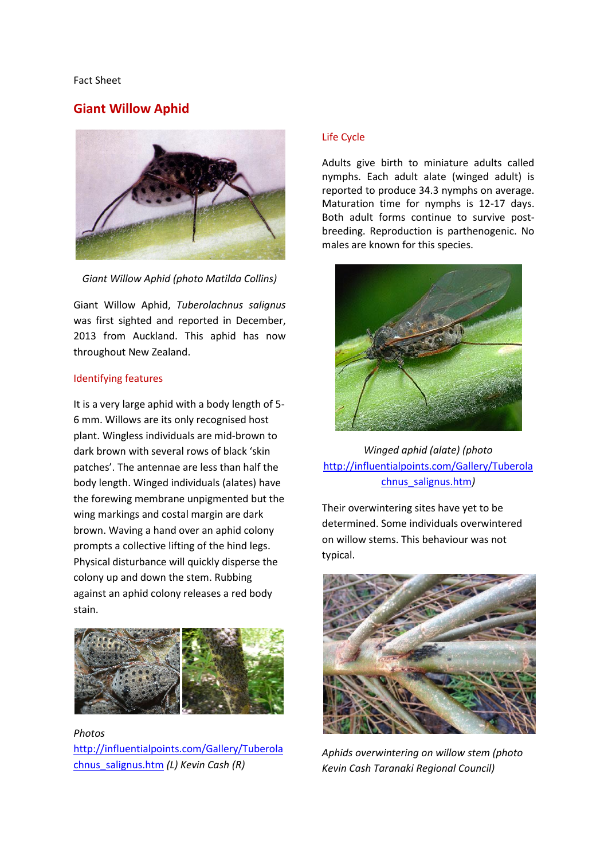#### Fact Sheet

# **Giant Willow Aphid**



*Giant Willow Aphid (photo Matilda Collins)*

Giant Willow Aphid, *Tuberolachnus salignus* was first sighted and reported in December, 2013 from Auckland. This aphid has now throughout New Zealand.

#### Identifying features

It is a very large aphid with a body length of 5- 6 mm. Willows are its only recognised host plant. Wingless individuals are mid-brown to dark brown with several rows of black 'skin patches'. The antennae are less than half the body length. Winged individuals (alates) have the forewing membrane unpigmented but the wing markings and costal margin are dark brown. Waving a hand over an aphid colony prompts a collective lifting of the hind legs. Physical disturbance will quickly disperse the colony up and down the stem. Rubbing against an aphid colony releases a red body stain.



*Photos*  [http://influentialpoints.com/Gallery/Tuberola](http://influentialpoints.com/Gallery/Tuberolachnus_salignus.htm) [chnus\\_salignus.htm](http://influentialpoints.com/Gallery/Tuberolachnus_salignus.htm) *(L) Kevin Cash (R)*

## Life Cycle

Adults give birth to miniature adults called nymphs. Each adult alate (winged adult) is reported to produce 34.3 nymphs on average. Maturation time for nymphs is 12-17 days. Both adult forms continue to survive postbreeding. Reproduction is parthenogenic. No males are known for this species.



*Winged aphid (alate) (photo*  [http://influentialpoints.com/Gallery/Tuberola](http://influentialpoints.com/Gallery/Tuberolachnus_salignus.htm) [chnus\\_salignus.htm](http://influentialpoints.com/Gallery/Tuberolachnus_salignus.htm)*)*

Their overwintering sites have yet to be determined. Some individuals overwintered on willow stems. This behaviour was not typical.



*Aphids overwintering on willow stem (photo Kevin Cash Taranaki Regional Council)*